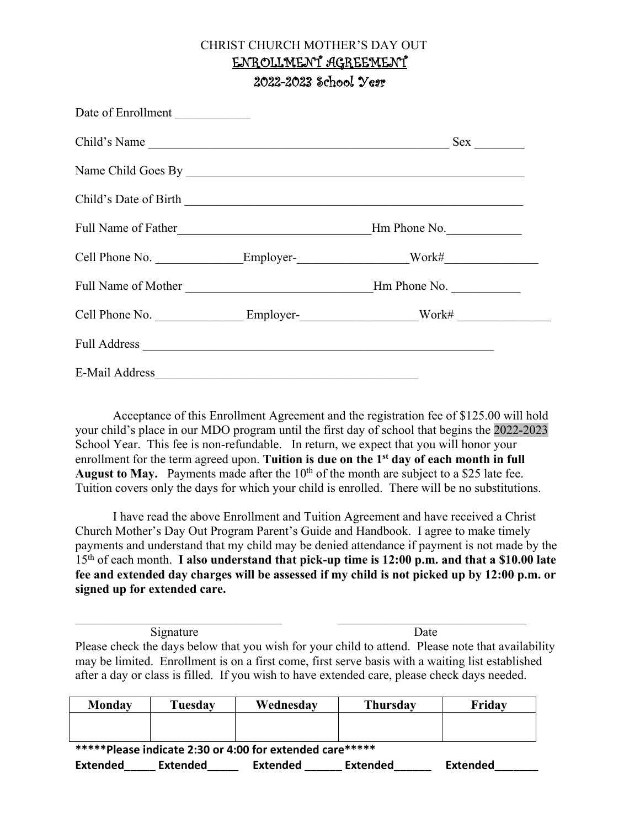#### CHRIST CHURCH MOTHER'S DAY OUT ENROLLMENT AGREEMENT 2022-2023 School Year

| Date of Enrollment |                                                                                                      |
|--------------------|------------------------------------------------------------------------------------------------------|
| Child's Name       | Sex                                                                                                  |
|                    |                                                                                                      |
|                    |                                                                                                      |
|                    | Hm Phone No.                                                                                         |
|                    |                                                                                                      |
|                    |                                                                                                      |
|                    | Cell Phone No. _____________________Employer-_________________________Work# ________________________ |
|                    |                                                                                                      |
| E-Mail Address     |                                                                                                      |

Acceptance of this Enrollment Agreement and the registration fee of \$125.00 will hold your child's place in our MDO program until the first day of school that begins the 2022-2023 School Year. This fee is non-refundable. In return, we expect that you will honor your enrollment for the term agreed upon. **Tuition is due on the 1st day of each month in full**  August to May. Payments made after the 10<sup>th</sup> of the month are subject to a \$25 late fee. Tuition covers only the days for which your child is enrolled. There will be no substitutions.

I have read the above Enrollment and Tuition Agreement and have received a Christ Church Mother's Day Out Program Parent's Guide and Handbook. I agree to make timely payments and understand that my child may be denied attendance if payment is not made by the 15th of each month. **I also understand that pick-up time is 12:00 p.m. and that a \$10.00 late fee and extended day charges will be assessed if my child is not picked up by 12:00 p.m. or signed up for extended care.**

Signature Date Please check the days below that you wish for your child to attend. Please note that availability may be limited. Enrollment is on a first come, first serve basis with a waiting list established after a day or class is filled. If you wish to have extended care, please check days needed.

| Monday                                                   | Tuesdav | Wednesday | <b>Thursday</b> | Fridav |
|----------------------------------------------------------|---------|-----------|-----------------|--------|
|                                                          |         |           |                 |        |
|                                                          |         |           |                 |        |
| *****Please indicate 2:30 or 4:00 for extended care***** |         |           |                 |        |

**Extended\_\_\_\_\_ Extended\_\_\_\_\_ Extended \_\_\_\_\_\_ Extended\_\_\_\_\_\_ Extended\_\_\_\_\_\_\_**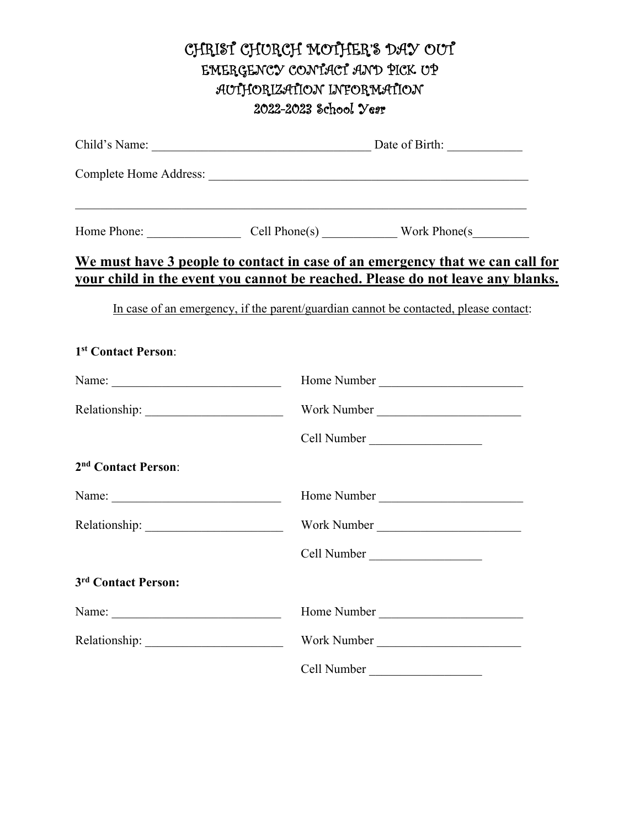# CHRIST CHURCH MOTHER'S DAY OUT EMERGENCY CONTACT AND PICK UP AUTHORIZATION INFORMATION 2022-2023 School Year

|                                 | Home Phone: Cell Phone(s) Work Phone(s                                                                                                                          |  |  |
|---------------------------------|-----------------------------------------------------------------------------------------------------------------------------------------------------------------|--|--|
|                                 | We must have 3 people to contact in case of an emergency that we can call for<br>your child in the event you cannot be reached. Please do not leave any blanks. |  |  |
|                                 | In case of an emergency, if the parent/guardian cannot be contacted, please contact:                                                                            |  |  |
| 1st Contact Person:             |                                                                                                                                                                 |  |  |
|                                 | Home Number                                                                                                                                                     |  |  |
|                                 | Work Number                                                                                                                                                     |  |  |
|                                 | Cell Number                                                                                                                                                     |  |  |
| 2 <sup>nd</sup> Contact Person: |                                                                                                                                                                 |  |  |
|                                 | Home Number                                                                                                                                                     |  |  |
|                                 | Work Number                                                                                                                                                     |  |  |
|                                 | Cell Number                                                                                                                                                     |  |  |
| 3rd Contact Person:             |                                                                                                                                                                 |  |  |
|                                 | Home Number                                                                                                                                                     |  |  |
|                                 | Work Number                                                                                                                                                     |  |  |
|                                 | Cell Number                                                                                                                                                     |  |  |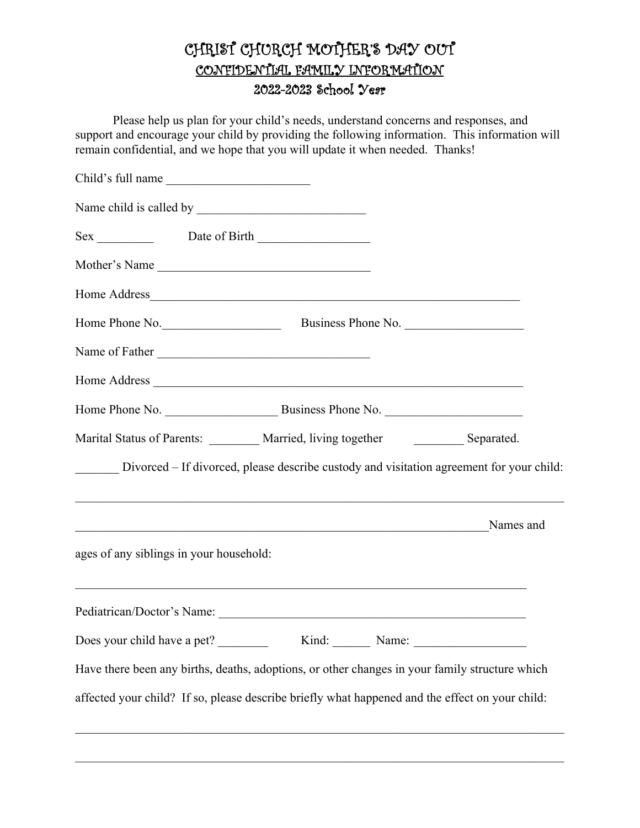# CHRIST CHURCH MOTHER'S DAY OUT CONFIDENTIAL FAMILY INFORMATION 2022-2023 School Year

Please help us plan for your child's needs, understand concerns and responses, and support and encourage your child by providing the following information. This information will remain confidential, and we hope that you will update it when needed. Thanks!

| Child's full name                                                                                                                   |  |
|-------------------------------------------------------------------------------------------------------------------------------------|--|
|                                                                                                                                     |  |
|                                                                                                                                     |  |
| Mother's Name                                                                                                                       |  |
|                                                                                                                                     |  |
| Home Phone No. Business Phone No.                                                                                                   |  |
| Name of Father                                                                                                                      |  |
|                                                                                                                                     |  |
| Home Phone No. 2008. Business Phone No.                                                                                             |  |
| Marital Status of Parents: _______ Married, living together __________ Separated.                                                   |  |
| Divorced - If divorced, please describe custody and visitation agreement for your child:                                            |  |
| Names and<br><u> 1989 - Johann Stoff, deutscher Stoffen und der Stoffen und der Stoffen und der Stoffen und der Stoffen und der</u> |  |
| ages of any siblings in your household:                                                                                             |  |
|                                                                                                                                     |  |
| Does your child have a pet? Kind: Name:                                                                                             |  |
| Have there been any births, deaths, adoptions, or other changes in your family structure which                                      |  |
| affected your child? If so, please describe briefly what happened and the effect on your child:                                     |  |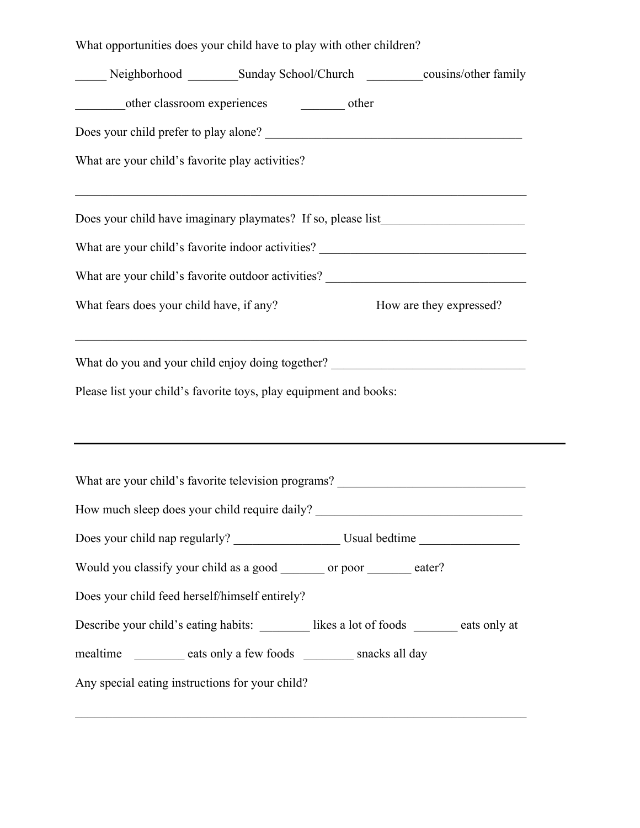What opportunities does your child have to play with other children?

| other classroom experiences other                                                                                                                                     |
|-----------------------------------------------------------------------------------------------------------------------------------------------------------------------|
|                                                                                                                                                                       |
| What are your child's favorite play activities?                                                                                                                       |
| ,我们也不能在这里的时候,我们也不能在这里的时候,我们也不能会在这里的时候,我们也不能会在这里的时候,我们也不能会在这里的时候,我们也不能会在这里的时候,我们也<br>Does your child have imaginary playmates? If so, please list_____________________ |
| What are your child's favorite indoor activities? ______________________________                                                                                      |
| What are your child's favorite outdoor activities? _____________________________                                                                                      |
| What fears does your child have, if any?<br>How are they expressed?                                                                                                   |
| ,我们也不能在这里的时候,我们也不能在这里的时候,我们也不能会在这里的时候,我们也不能会在这里的时候,我们也不能会在这里的时候,我们也不能会在这里的时候,我们也<br>What do you and your child enjoy doing together? _______________________________  |
| Please list your child's favorite toys, play equipment and books:                                                                                                     |
|                                                                                                                                                                       |
| What are your child's favorite television programs? ____________________________                                                                                      |
| How much sleep does your child require daily? __________________________________                                                                                      |
|                                                                                                                                                                       |
| Would you classify your child as a good ________ or poor _______ eater?                                                                                               |
| Does your child feed herself/himself entirely?                                                                                                                        |
| Describe your child's eating habits: __________ likes a lot of foods _______ eats only at                                                                             |
| mealtime __________ eats only a few foods _________ snacks all day<br>Any special eating instructions for your child?                                                 |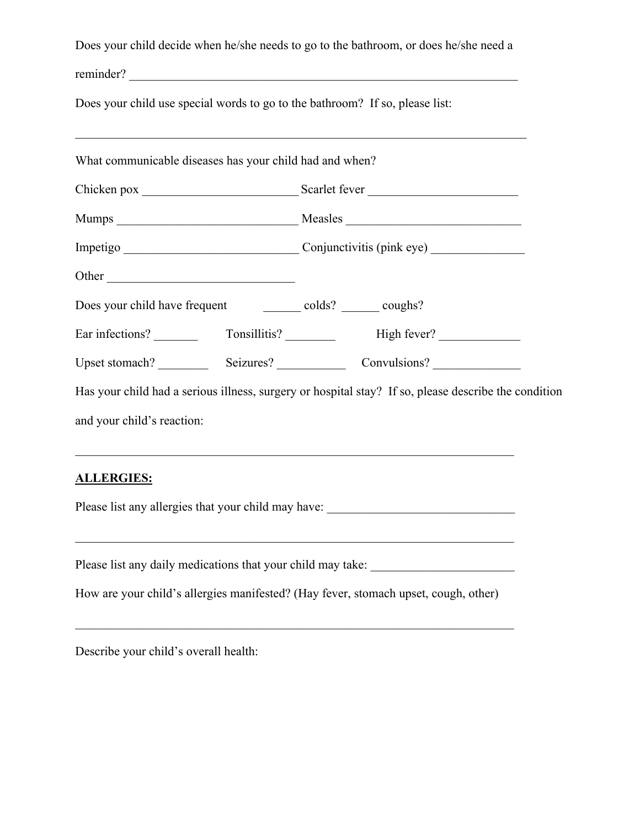|                                                                              |  |                                    | Does your child decide when he/she needs to go to the bathroom, or does he/she need a                |  |
|------------------------------------------------------------------------------|--|------------------------------------|------------------------------------------------------------------------------------------------------|--|
|                                                                              |  |                                    | reminder?                                                                                            |  |
| Does your child use special words to go to the bathroom? If so, please list: |  |                                    |                                                                                                      |  |
|                                                                              |  |                                    |                                                                                                      |  |
| What communicable diseases has your child had and when?                      |  |                                    |                                                                                                      |  |
|                                                                              |  |                                    |                                                                                                      |  |
|                                                                              |  |                                    |                                                                                                      |  |
|                                                                              |  | Impetigo Conjunctivitis (pink eye) |                                                                                                      |  |
|                                                                              |  |                                    |                                                                                                      |  |
| Does your child have frequent _____________ colds? ________ coughs?          |  |                                    |                                                                                                      |  |
|                                                                              |  |                                    |                                                                                                      |  |
|                                                                              |  |                                    |                                                                                                      |  |
|                                                                              |  |                                    | Has your child had a serious illness, surgery or hospital stay? If so, please describe the condition |  |
| and your child's reaction:                                                   |  |                                    |                                                                                                      |  |
|                                                                              |  |                                    | ,我们也不能在这里的时候,我们也不能在这里的时候,我们也不能会在这里的时候,我们也不能会在这里的时候,我们也不能会在这里的时候,我们也不能会在这里的时候,我们也                     |  |
| <b>ALLERGIES:</b>                                                            |  |                                    |                                                                                                      |  |

Please list any allergies that your child may have: \_\_\_\_\_\_\_\_\_\_\_\_\_\_\_\_\_\_\_\_\_\_\_\_\_\_\_\_ Please list any daily medications that your child may take: \_\_\_\_\_\_\_\_\_\_\_\_\_\_\_\_\_\_\_\_\_

How are your child's allergies manifested? (Hay fever, stomach upset, cough, other)

Describe your child's overall health: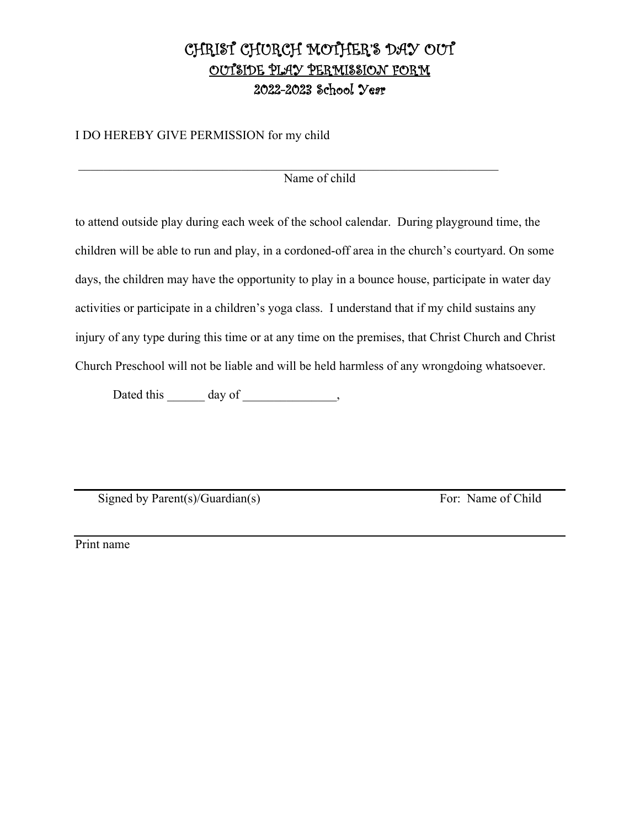## CHRIST CHURCH MOTHER'S DAY OUT OUTSIDE PLAY PERMISSION FORM 2022-2023 School Year

I DO HEREBY GIVE PERMISSION for my child

Name of child

to attend outside play during each week of the school calendar. During playground time, the children will be able to run and play, in a cordoned-off area in the church's courtyard. On some days, the children may have the opportunity to play in a bounce house, participate in water day activities or participate in a children's yoga class. I understand that if my child sustains any injury of any type during this time or at any time on the premises, that Christ Church and Christ Church Preschool will not be liable and will be held harmless of any wrongdoing whatsoever.

Dated this day of the control of the control of the control of the control of the control of the control of the control of the control of the control of the control of the control of the control of the control of the contr

Signed by Parent(s)/Guardian(s) For: Name of Child

Print name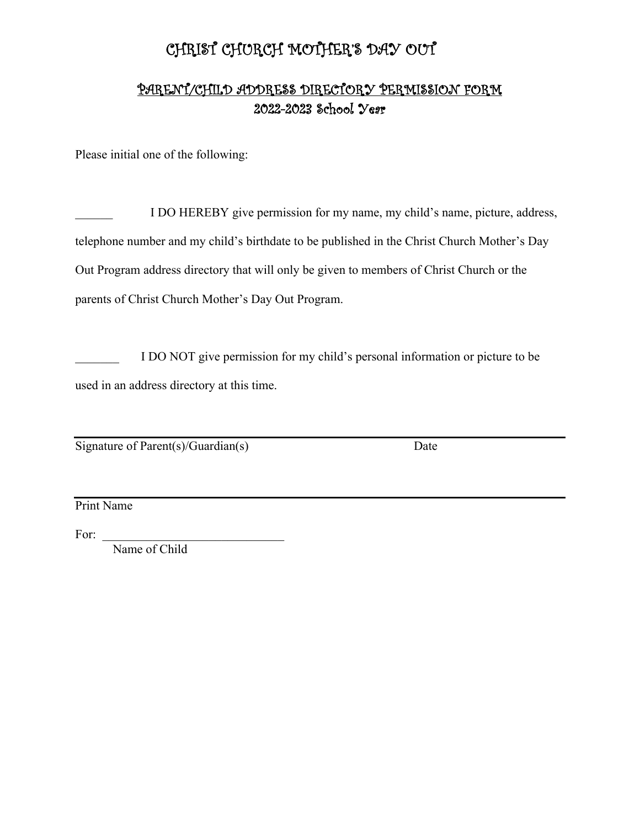# CHRIST CHURCH MOTHER'S DAY OUT

### PARENT/CHILD ADDRESS DIRECTORY PERMISSION FORM 2022-2023 School Year

Please initial one of the following:

I DO HEREBY give permission for my name, my child's name, picture, address, telephone number and my child's birthdate to be published in the Christ Church Mother's Day Out Program address directory that will only be given to members of Christ Church or the parents of Christ Church Mother's Day Out Program.

I DO NOT give permission for my child's personal information or picture to be used in an address directory at this time.

Signature of Parent(s)/Guardian(s) Date

Print Name

For:

Name of Child